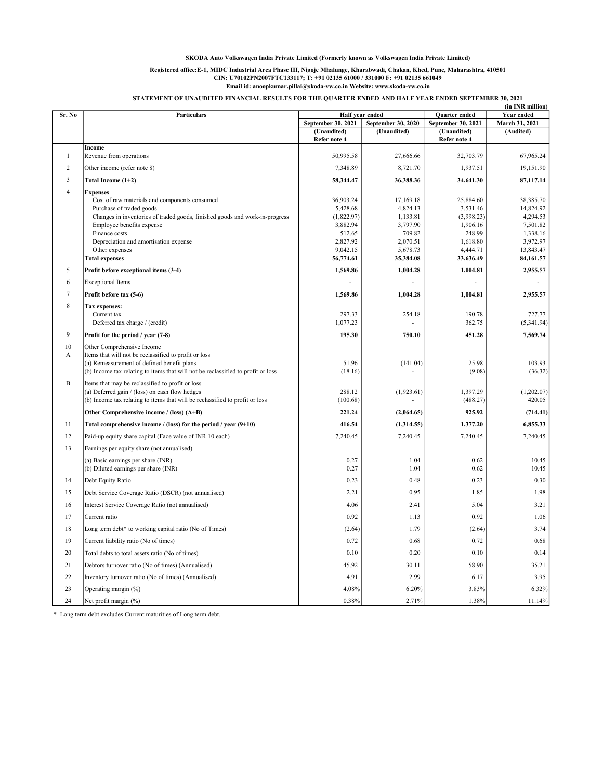# Registered office:E-1, MIDC Industrial Area Phase III, Nigoje Mhalunge, Kharabwadi, Chakan, Khed, Pune, Maharashtra, 410501 CIN: U70102PN2007FTC133117; T: +91 02135 61000 / 331000 F: +91 02135 661049

Email id: anoopkumar.pillai@skoda-vw.co.in Website: www.skoda-vw.co.in

# STATEMENT OF UNAUDITED FINANCIAL RESULTS FOR THE QUARTER ENDED AND HALF YEAR ENDED SEPTEMBER 30, 2021

|                |                                                                                                          |                             |                      |                             | (in INR million)      |
|----------------|----------------------------------------------------------------------------------------------------------|-----------------------------|----------------------|-----------------------------|-----------------------|
| Sr. No         | Particulars                                                                                              | Half year ended             |                      | Quarter ended               | Year ended            |
|                |                                                                                                          | September 30, 2021          | September 30, 2020   | September 30, 2021          | March 31, 2021        |
|                |                                                                                                          | (Unaudited)<br>Refer note 4 | (Unaudited)          | (Unaudited)<br>Refer note 4 | (Audited)             |
| $\mathbf{1}$   | Income<br>Revenue from operations                                                                        | 50,995.58                   | 27,666.66            | 32,703.79                   | 67,965.24             |
| 2              |                                                                                                          | 7,348.89                    | 8,721.70             | 1,937.51                    | 19,151.90             |
| 3              | Other income (refer note 8)<br>Total Income (1+2)                                                        | 58,344.47                   | 36,388.36            | 34,641.30                   | 87,117.14             |
|                |                                                                                                          |                             |                      |                             |                       |
| $\overline{4}$ | <b>Expenses</b><br>Cost of raw materials and components consumed                                         | 36,903.24                   | 17,169.18            | 25,884.60                   | 38,385.70             |
|                | Purchase of traded goods                                                                                 | 5,428.68<br>(1,822.97)      | 4,824.13<br>1,133.81 | 3,531.46<br>(3,998.23)      | 14,824.92<br>4,294.53 |
|                | Changes in inventories of traded goods, finished goods and work-in-progress<br>Employee benefits expense | 3,882.94                    | 3,797.90             | 1,906.16                    | 7,501.82              |
|                | Finance costs                                                                                            | 512.65                      | 709.82               | 248.99                      | 1,338.16              |
|                | Depreciation and amortisation expense                                                                    | 2,827.92                    | 2,070.51             | 1,618.80                    | 3,972.97              |
|                | Other expenses                                                                                           | 9,042.15                    | 5,678.73             | 4,444.71                    | 13,843.47             |
|                | <b>Total expenses</b>                                                                                    | 56,774.61                   | 35,384.08            | 33,636.49                   | 84,161.57             |
| 5              | Profit before exceptional items (3-4)                                                                    | 1,569.86                    | 1,004.28             | 1,004.81                    | 2,955.57              |
| 6              | <b>Exceptional Items</b>                                                                                 |                             |                      |                             |                       |
| $\overline{7}$ | Profit before tax (5-6)                                                                                  | 1,569.86                    | 1,004.28             | 1,004.81                    | 2,955.57              |
| $\,$ 8 $\,$    | Tax expenses:                                                                                            |                             |                      |                             |                       |
|                | Current tax<br>Deferred tax charge / (credit)                                                            | 297.33<br>1,077.23          | 254.18               | 190.78<br>362.75            | 727.77<br>(5,341.94)  |
| $\overline{9}$ | Profit for the period / year (7-8)                                                                       | 195.30                      | 750.10               | 451.28                      | 7,569.74              |
| 10             | Other Comprehensive Income                                                                               |                             |                      |                             |                       |
| A              | Items that will not be reclassified to profit or loss                                                    |                             |                      |                             |                       |
|                | (a) Remeasurement of defined benefit plans                                                               | 51.96                       | (141.04)             | 25.98                       | 103.93                |
|                | (b) Income tax relating to items that will not be reclassified to profit or loss                         | (18.16)                     |                      | (9.08)                      | (36.32)               |
| $\overline{B}$ | Items that may be reclassified to profit or loss                                                         |                             |                      |                             |                       |
|                | (a) Deferred gain / (loss) on cash flow hedges                                                           | 288.12                      | (1,923.61)           | 1,397.29                    | (1,202.07)            |
|                | (b) Income tax relating to items that will be reclassified to profit or loss                             | (100.68)                    |                      | (488.27)                    | 420.05                |
|                | Other Comprehensive income / (loss) $(A+B)$                                                              | 221.24                      | (2,064.65)           | 925.92                      | (714.41)              |
| 11             | Total comprehensive income / (loss) for the period / year (9+10)                                         | 416.54                      | (1,314.55)           | 1,377.20                    | 6,855.33              |
| 12             | Paid-up equity share capital (Face value of INR 10 each)                                                 | 7,240.45                    | 7.240.45             | 7,240.45                    | 7.240.45              |
| 13             | Earnings per equity share (not annualised)                                                               |                             |                      |                             |                       |
|                | (a) Basic earnings per share (INR)                                                                       | 0.27                        | 1.04                 | 0.62                        | 10.45                 |
|                | (b) Diluted earnings per share (INR)                                                                     | 0.27                        | 1.04                 | 0.62                        | 10.45                 |
| 14             | Debt Equity Ratio                                                                                        | 0.23                        | 0.48                 | 0.23                        | 0.30                  |
| 15             | Debt Service Coverage Ratio (DSCR) (not annualised)                                                      | 2.21                        | 0.95                 | 1.85                        | 1.98                  |
| 16             | Interest Service Coverage Ratio (not annualised)                                                         | 4.06                        | 2.41                 | 5.04                        | 3.21                  |
| 17             | Current ratio                                                                                            | 0.92                        | 1.13                 | 0.92                        | 1.06                  |
| 18             | Long term debt* to working capital ratio (No of Times)                                                   | (2.64)                      | 1.79                 | (2.64)                      | 3.74                  |
| 19             | Current liability ratio (No of times)                                                                    | 0.72                        | 0.68                 | 0.72                        | 0.68                  |
| 20             | Total debts to total assets ratio (No of times)                                                          | 0.10                        | 0.20                 | 0.10                        | 0.14                  |
| 21             | Debtors turnover ratio (No of times) (Annualised)                                                        | 45.92                       | 30.11                | 58.90                       | 35.21                 |
| 22             | Inventory turnover ratio (No of times) (Annualised)                                                      | 4.91                        | 2.99                 | 6.17                        | 3.95                  |
| 23             | Operating margin (%)                                                                                     | 4.08%                       | 6.20%                | 3.83%                       | 6.32%                 |
| 24             | Net profit margin (%)                                                                                    | 0.38%                       | 2.71%                | 1.38%                       | 11.14%                |

\* Long term debt excludes Current maturities of Long term debt.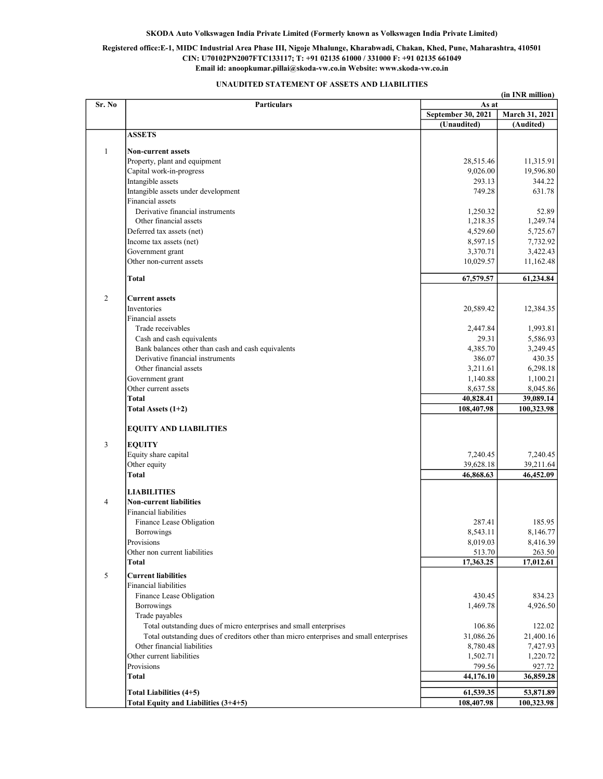# Registered office:E-1, MIDC Industrial Area Phase III, Nigoje Mhalunge, Kharabwadi, Chakan, Khed, Pune, Maharashtra, 410501 CIN: U70102PN2007FTC133117; T: +91 02135 61000 / 331000 F: +91 02135 661049 Email id: anoopkumar.pillai@skoda-vw.co.in Website: www.skoda-vw.co.in

# UNAUDITED STATEMENT OF ASSETS AND LIABILITIES

|                | (in INR million)                                                                                                                                            |                         |                      |  |
|----------------|-------------------------------------------------------------------------------------------------------------------------------------------------------------|-------------------------|----------------------|--|
| Sr. No         | <b>Particulars</b>                                                                                                                                          | As at                   |                      |  |
|                |                                                                                                                                                             | September 30, 2021      | March 31, 2021       |  |
|                | <b>ASSETS</b>                                                                                                                                               | (Unaudited)             | (Audited)            |  |
|                |                                                                                                                                                             |                         |                      |  |
| $\mathbf{1}$   | <b>Non-current assets</b>                                                                                                                                   |                         |                      |  |
|                | Property, plant and equipment                                                                                                                               | 28,515.46               | 11,315.91            |  |
|                | Capital work-in-progress                                                                                                                                    | 9,026.00                | 19,596.80            |  |
|                | Intangible assets                                                                                                                                           | 293.13                  | 344.22               |  |
|                | Intangible assets under development                                                                                                                         | 749.28                  | 631.78               |  |
|                | Financial assets                                                                                                                                            |                         |                      |  |
|                | Derivative financial instruments<br>Other financial assets                                                                                                  | 1,250.32<br>1,218.35    | 52.89<br>1,249.74    |  |
|                |                                                                                                                                                             |                         |                      |  |
|                | Deferred tax assets (net)<br>Income tax assets (net)                                                                                                        | 4,529.60<br>8,597.15    | 5,725.67<br>7,732.92 |  |
|                | Government grant                                                                                                                                            | 3,370.71                | 3,422.43             |  |
|                | Other non-current assets                                                                                                                                    | 10,029.57               | 11,162.48            |  |
|                |                                                                                                                                                             |                         |                      |  |
|                | Total                                                                                                                                                       | 67,579.57               | 61,234.84            |  |
|                |                                                                                                                                                             |                         |                      |  |
| $\overline{2}$ | <b>Current assets</b>                                                                                                                                       |                         |                      |  |
|                | <b>Inventories</b>                                                                                                                                          | 20,589.42               | 12,384.35            |  |
|                | <b>Financial</b> assets<br>Trade receivables                                                                                                                |                         | 1,993.81             |  |
|                | Cash and cash equivalents                                                                                                                                   | 2,447.84<br>29.31       | 5,586.93             |  |
|                | Bank balances other than cash and cash equivalents                                                                                                          | 4,385.70                | 3,249.45             |  |
|                | Derivative financial instruments                                                                                                                            | 386.07                  | 430.35               |  |
|                | Other financial assets                                                                                                                                      | 3,211.61                | 6,298.18             |  |
|                | Government grant                                                                                                                                            | 1,140.88                | 1,100.21             |  |
|                | Other current assets                                                                                                                                        | 8,637.58                | 8,045.86             |  |
|                | Total                                                                                                                                                       | 40,828.41               | 39,089.14            |  |
|                | Total Assets $(1+2)$                                                                                                                                        | 108,407.98              | 100,323.98           |  |
|                | <b>EQUITY AND LIABILITIES</b>                                                                                                                               |                         |                      |  |
| $\mathfrak{Z}$ | <b>EQUITY</b>                                                                                                                                               |                         |                      |  |
|                | Equity share capital                                                                                                                                        | 7,240.45                | 7,240.45             |  |
|                | Other equity                                                                                                                                                | 39,628.18               | 39,211.64            |  |
|                | <b>Total</b>                                                                                                                                                | 46,868.63               | 46,452.09            |  |
|                |                                                                                                                                                             |                         |                      |  |
|                | <b>LIABILITIES</b>                                                                                                                                          |                         |                      |  |
| $\overline{4}$ | <b>Non-current liabilities</b>                                                                                                                              |                         |                      |  |
|                | <b>Financial liabilities</b>                                                                                                                                |                         |                      |  |
|                | Finance Lease Obligation                                                                                                                                    | 287.41                  | 185.95               |  |
|                | <b>Borrowings</b>                                                                                                                                           | 8,543.11                | 8,146.77             |  |
|                | Provisions                                                                                                                                                  | 8,019.03                | 8,416.39             |  |
|                | Other non current liabilities                                                                                                                               | 513.70                  | 263.50               |  |
|                | Total                                                                                                                                                       | 17,363.25               | 17,012.61            |  |
| 5              | <b>Current liabilities</b>                                                                                                                                  |                         |                      |  |
|                | <b>Financial liabilities</b>                                                                                                                                |                         |                      |  |
|                | Finance Lease Obligation                                                                                                                                    | 430.45                  | 834.23               |  |
|                | Borrowings                                                                                                                                                  | 1,469.78                | 4,926.50             |  |
|                | Trade payables                                                                                                                                              |                         |                      |  |
|                | Total outstanding dues of micro enterprises and small enterprises<br>Total outstanding dues of creditors other than micro enterprises and small enterprises | 106.86<br>31,086.26     | 122.02<br>21,400.16  |  |
|                | Other financial liabilities                                                                                                                                 | 8,780.48                | 7,427.93             |  |
|                | Other current liabilities                                                                                                                                   | 1,502.71                | 1,220.72             |  |
|                | Provisions                                                                                                                                                  | 799.56                  | 927.72               |  |
|                | Total                                                                                                                                                       | 44,176.10               | 36,859.28            |  |
|                |                                                                                                                                                             |                         |                      |  |
|                | Total Liabilities (4+5)                                                                                                                                     | 61,539.35<br>108,407.98 | 53,871.89            |  |
|                | Total Equity and Liabilities (3+4+5)                                                                                                                        |                         | 100,323.98           |  |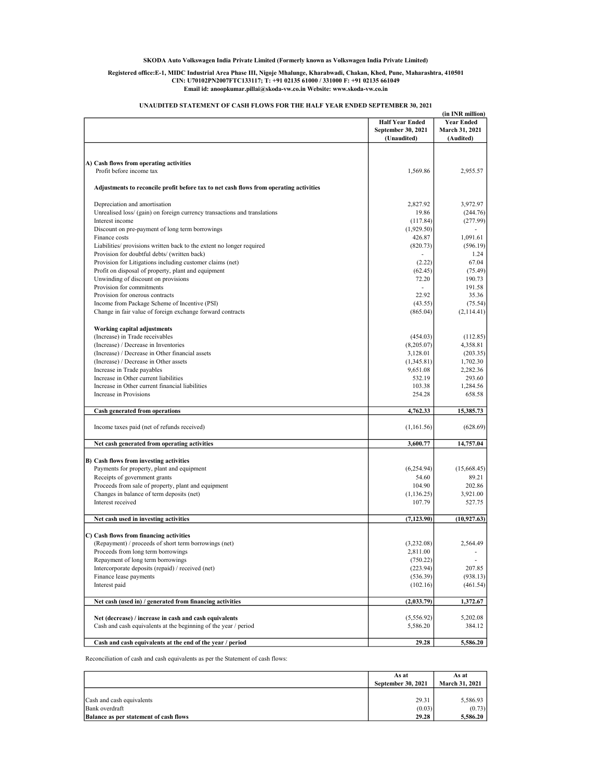#### Registered office:E-1, MIDC Industrial Area Phase III, Nigoje Mhalunge, Kharabwadi, Chakan, Khed, Pune, Maharashtra, 410501 CIN: U70102PN2007FTC133117; T: +91 02135 61000 / 331000 F: +91 02135 661049 Email id: anoopkumar.pillai@skoda-vw.co.in Website: www.skoda-vw.co.in

|                                                                                        |                          | (in INR million)      |
|----------------------------------------------------------------------------------------|--------------------------|-----------------------|
|                                                                                        | <b>Half Year Ended</b>   | <b>Year Ended</b>     |
|                                                                                        | September 30, 2021       | <b>March 31, 2021</b> |
|                                                                                        | (Unaudited)              | (Audited)             |
|                                                                                        |                          |                       |
| A) Cash flows from operating activities                                                |                          |                       |
| Profit before income tax                                                               | 1,569.86                 | 2,955.57              |
| Adjustments to reconcile profit before tax to net cash flows from operating activities |                          |                       |
| Depreciation and amortisation                                                          | 2,827.92                 | 3,972.97              |
| Unrealised loss/ (gain) on foreign currency transactions and translations              | 19.86                    | (244.76)              |
| Interest income                                                                        | (117.84)                 | (277.99)              |
| Discount on pre-payment of long term borrowings                                        | (1,929.50)               |                       |
| Finance costs                                                                          | 426.87                   | 1,091.61              |
| Liabilities/ provisions written back to the extent no longer required                  | (820.73)                 | (596.19)              |
| Provision for doubtful debts/ (written back)                                           | ÷                        | 1.24                  |
| Provision for Litigations including customer claims (net)                              | (2.22)                   | 67.04                 |
| Profit on disposal of property, plant and equipment                                    | (62.45)                  | (75.49)               |
| Unwinding of discount on provisions                                                    | 72.20                    | 190.73                |
| Provision for commitments                                                              | $\overline{\phantom{a}}$ | 191.58                |
| Provision for onerous contracts                                                        | 22.92                    | 35.36                 |
| Income from Package Scheme of Incentive (PSI)                                          | (43.55)                  | (75.54)               |
| Change in fair value of foreign exchange forward contracts                             | (865.04)                 | (2,114.41)            |
| Working capital adjustments                                                            |                          |                       |
| (Increase) in Trade receivables                                                        | (454.03)                 | (112.85)              |
| (Increase) / Decrease in Inventories                                                   | (8,205.07)               | 4,358.81              |
| (Increase) / Decrease in Other financial assets                                        | 3,128.01                 | (203.35)              |
| (Increase) / Decrease in Other assets                                                  | (1,345.81)               | 1,702.30              |
| Increase in Trade payables                                                             | 9,651.08                 | 2,282.36              |
| Increase in Other current liabilities                                                  | 532.19                   | 293.60                |
| Increase in Other current financial liabilities                                        | 103.38                   | 1,284.56              |
| Increase in Provisions                                                                 | 254.28                   | 658.58                |
| Cash generated from operations                                                         | 4,762.33                 | 15,385.73             |
| Income taxes paid (net of refunds received)                                            | (1,161.56)               | (628.69)              |
| Net cash generated from operating activities                                           | 3,600.77                 | 14,757.04             |
|                                                                                        |                          |                       |
| B) Cash flows from investing activities<br>Payments for property, plant and equipment  | (6,254.94)               | (15,668.45)           |
| Receipts of government grants                                                          | 54.60                    | 89.21                 |
| Proceeds from sale of property, plant and equipment                                    | 104.90                   | 202.86                |
| Changes in balance of term deposits (net)                                              | (1, 136.25)              | 3,921.00              |
| Interest received                                                                      | 107.79                   | 527.75                |
| Net cash used in investing activities                                                  | (7, 123.90)              | (10.927.63)           |
|                                                                                        |                          |                       |
| C) Cash flows from financing activities                                                |                          |                       |
| (Repayment) / proceeds of short term borrowings (net)                                  | (3,232.08)               | 2,564.49              |
| Proceeds from long term borrowings                                                     | 2,811.00                 | ٠                     |
| Repayment of long term borrowings                                                      | (750.22)                 |                       |
| Intercorporate deposits (repaid) / received (net)                                      | (223.94)                 | 207.85                |
| Finance lease payments                                                                 | (536.39)                 | (938.13)              |
| Interest paid                                                                          | (102.16)                 | (461.54)              |
| Net cash (used in) / generated from financing activities                               | (2,033.79)               | 1,372.67              |
|                                                                                        |                          |                       |
| Net (decrease) / increase in cash and cash equivalents                                 | (5,556.92)               | 5,202.08              |
| Cash and cash equivalents at the beginning of the year / period                        | 5,586.20                 | 384.12                |
| Cash and cash equivalents at the end of the year / period                              | 29.28                    | 5,586.20              |
|                                                                                        |                          |                       |

## UNAUDITED STATEMENT OF CASH FLOWS FOR THE HALF YEAR ENDED SEPTEMBER 30, 2021

Reconciliation of cash and cash equivalents as per the Statement of cash flows:

|                                               | As at              | As at                 |
|-----------------------------------------------|--------------------|-----------------------|
|                                               | September 30, 2021 | <b>March 31, 2021</b> |
|                                               |                    |                       |
| Cash and cash equivalents                     | 29.31              | 5,586.93              |
| Bank overdraft                                | (0.03)             | (0.73)                |
| <b>Balance as per statement of cash flows</b> | 29.28              | 5,586.20              |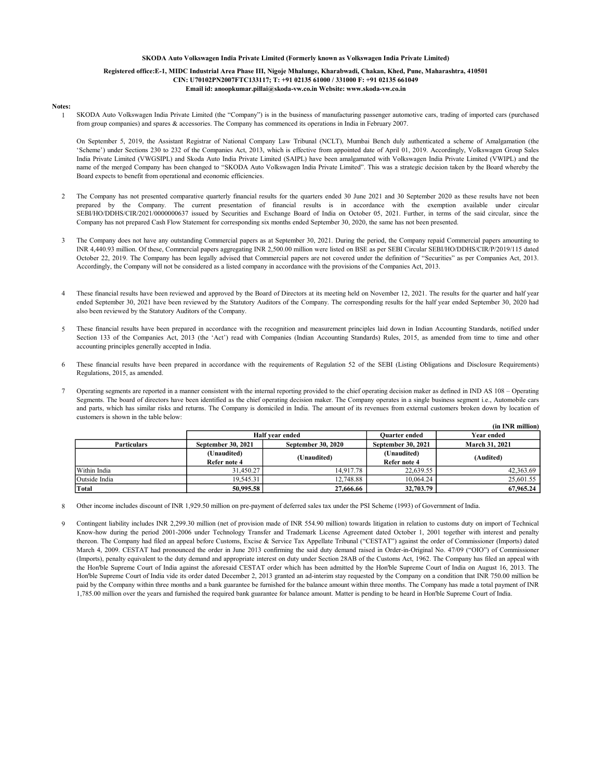#### Registered office:E-1, MIDC Industrial Area Phase III, Nigoje Mhalunge, Kharabwadi, Chakan, Khed, Pune, Maharashtra, 410501 CIN: U70102PN2007FTC133117; T: +91 02135 61000 / 331000 F: +91 02135 661049 Email id: anoopkumar.pillai@skoda-vw.co.in Website: www.skoda-vw.co.in

#### Notes:

1 SKODA Auto Volkswagen India Private Limited (the "Company") is in the business of manufacturing passenger automotive cars, trading of imported cars (purchased from group companies) and spares & accessories. The Company has commenced its operations in India in February 2007.

On September 5, 2019, the Assistant Registrar of National Company Law Tribunal (NCLT), Mumbai Bench duly authenticated a scheme of Amalgamation (the 'Scheme') under Sections 230 to 232 of the Companies Act, 2013, which is effective from appointed date of April 01, 2019. Accordingly, Volkswagen Group Sales India Private Limited (VWGSIPL) and Skoda Auto India Private Limited (SAIPL) have been amalgamated with Volkswagen India Private Limited (VWIPL) and the name of the merged Company has been changed to "SKODA Auto Volkswagen India Private Limited". This was a strategic decision taken by the Board whereby the Board expects to benefit from operational and economic efficiencies.

- 2 The Company has not presented comparative quarterly financial results for the quarters ended 30 June 2021 and 30 September 2020 as these results have not been prepared by the Company. The current presentation of financial results is in accordance with the exemption available under circular SEBI/HO/DDHS/CIR/2021/0000000637 issued by Securities and Exchange Board of India on October 05, 2021. Further, in terms of the said circular, since the Company has not prepared Cash Flow Statement for corresponding six months ended September 30, 2020, the same has not been presented.
- 3 The Company does not have any outstanding Commercial papers as at September 30, 2021. During the period, the Company repaid Commercial papers amounting to INR 4,440.93 million. Of these, Commercial papers aggregating INR 2,500.00 million were listed on BSE as per SEBI Circular SEBI/HO/DDHS/CIR/P/2019/115 dated October 22, 2019. The Company has been legally advised that Commercial papers are not covered under the definition of "Securities" as per Companies Act, 2013. Accordingly, the Company will not be considered as a listed company in accordance with the provisions of the Companies Act, 2013.
- 4 These financial results have been reviewed and approved by the Board of Directors at its meeting held on November 12, 2021. The results for the quarter and half year ended September 30, 2021 have been reviewed by the Statutory Auditors of the Company. The corresponding results for the half year ended September 30, 2020 had also been reviewed by the Statutory Auditors of the Company.
- 5 These financial results have been prepared in accordance with the recognition and measurement principles laid down in Indian Accounting Standards, notified under Section 133 of the Companies Act, 2013 (the 'Act') read with Companies (Indian Accounting Standards) Rules, 2015, as amended from time to time and other accounting principles generally accepted in India.
- 6 These financial results have been prepared in accordance with the requirements of Regulation 52 of the SEBI (Listing Obligations and Disclosure Requirements) Regulations, 2015, as amended.
- 7 Operating segments are reported in a manner consistent with the internal reporting provided to the chief operating decision maker as defined in IND AS 108 – Operating Segments. The board of directors have been identified as the chief operating decision maker. The Company operates in a single business segment i.e., Automobile cars and parts, which has similar risks and returns. The Company is domiciled in India. The amount of its revenues from external customers broken down by location of customers is shown in the table below:

|                    |                                                        | чи пла шиноп |                           |                       |  |
|--------------------|--------------------------------------------------------|--------------|---------------------------|-----------------------|--|
|                    | Half vear ended                                        |              | <b>Ouarter ended</b>      | Year ended            |  |
| <b>Particulars</b> | <b>September 30, 2020</b><br><b>September 30, 2021</b> |              | <b>September 30, 2021</b> | <b>March 31, 2021</b> |  |
|                    | (Unaudited)                                            |              | (Unaudited)               |                       |  |
|                    | Refer note 4                                           | (Unaudited)  | Refer note 4              | (Audited)             |  |
| Within India       | 31.450.27                                              | 14,917.78    | 22,639.55                 | 42,363.69             |  |
| Outside India      | 19.545.31                                              | 12,748.88    | 10.064.24                 | 25,601.55             |  |
| Total              | 50,995.58                                              | 27,666,66    | 32,703.79                 | 67,965.24             |  |

 $(in IND million)$ 

8 Other income includes discount of INR 1,929.50 million on pre-payment of deferred sales tax under the PSI Scheme (1993) of Government of India.

 $\alpha$ Contingent liability includes INR 2,299.30 million (net of provision made of INR 554.90 million) towards litigation in relation to customs duty on import of Technical Know-how during the period 2001-2006 under Technology Transfer and Trademark License Agreement dated October 1, 2001 together with interest and penalty thereon. The Company had filed an appeal before Customs, Excise & Service Tax Appellate Tribunal ("CESTAT") against the order of Commissioner (Imports) dated March 4, 2009. CESTAT had pronounced the order in June 2013 confirming the said duty demand raised in Order-in-Original No. 47/09 ("OIO") of Commissioner (Imports), penalty equivalent to the duty demand and appropriate interest on duty under Section 28AB of the Customs Act, 1962. The Company has filed an appeal with the Hon'ble Supreme Court of India against the aforesaid CESTAT order which has been admitted by the Hon'ble Supreme Court of India on August 16, 2013. The Hon'ble Supreme Court of India vide its order dated December 2, 2013 granted an ad-interim stay requested by the Company on a condition that INR 750.00 million be paid by the Company within three months and a bank guarantee be furnished for the balance amount within three months. The Company has made a total payment of INR 1,785.00 million over the years and furnished the required bank guarantee for balance amount. Matter is pending to be heard in Hon'ble Supreme Court of India.